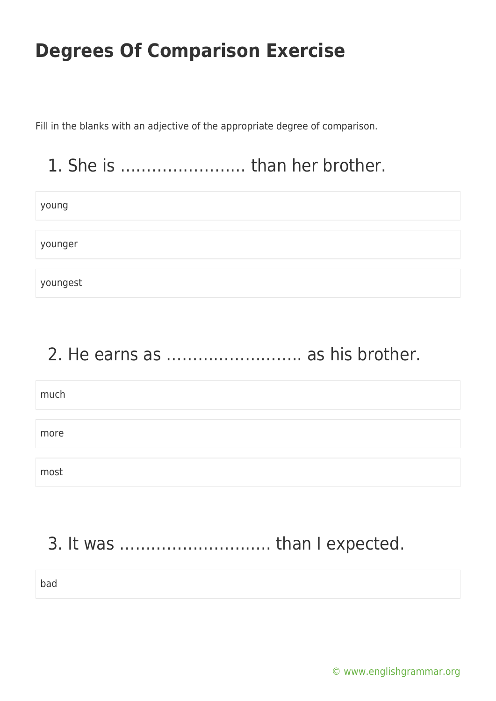Fill in the blanks with an adjective of the appropriate degree of comparison.

## 1. She is …………………… than her brother.

| young    |  |
|----------|--|
|          |  |
| younger  |  |
|          |  |
| youngest |  |

### 2. He earns as …………………….. as his brother.

| much |  |  |
|------|--|--|
|      |  |  |
|      |  |  |
| more |  |  |
|      |  |  |
|      |  |  |
| most |  |  |

## 3. It was ……………………….. than I expected.

bad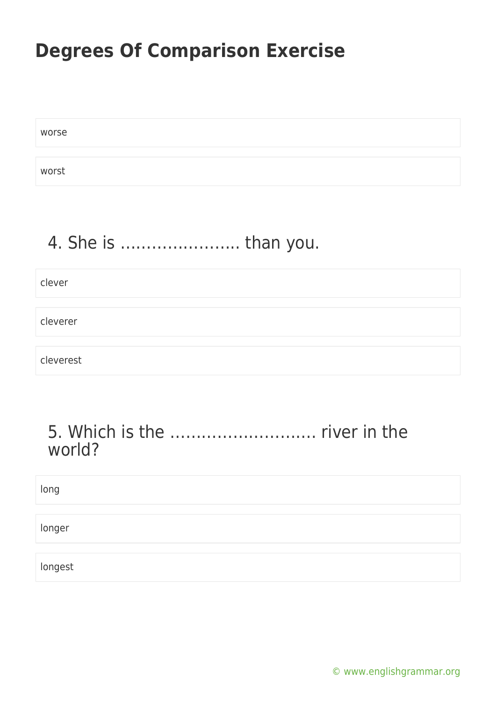worse

worst

## 4. She is ………………….. than you.

clever

cleverer

cleverest

#### 5. Which is the ………………………. river in the world?

| long    |  |  |  |
|---------|--|--|--|
| longer  |  |  |  |
| longest |  |  |  |

[© www.englishgrammar.org](https://www.englishgrammar.org/)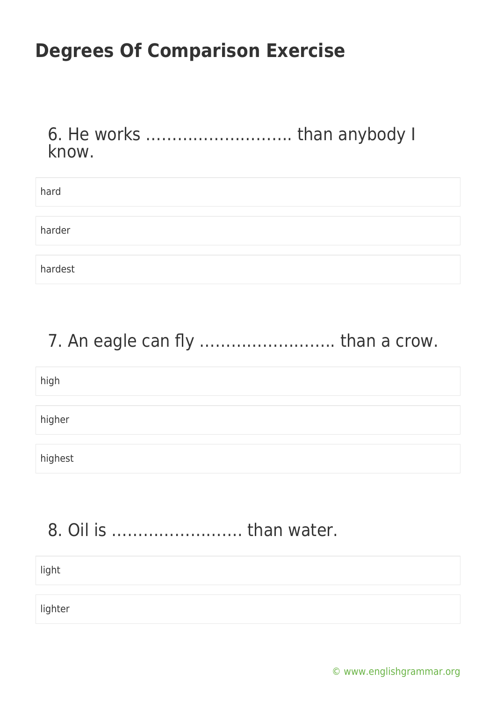6. He works ………………………. than anybody I know.

| hard    |  |
|---------|--|
|         |  |
| harder  |  |
|         |  |
| hardest |  |

## 7. An eagle can fly ............................. than a crow.

high higher highest

## 8. Oil is ……………………. than water.

lighter

light

[© www.englishgrammar.org](https://www.englishgrammar.org/)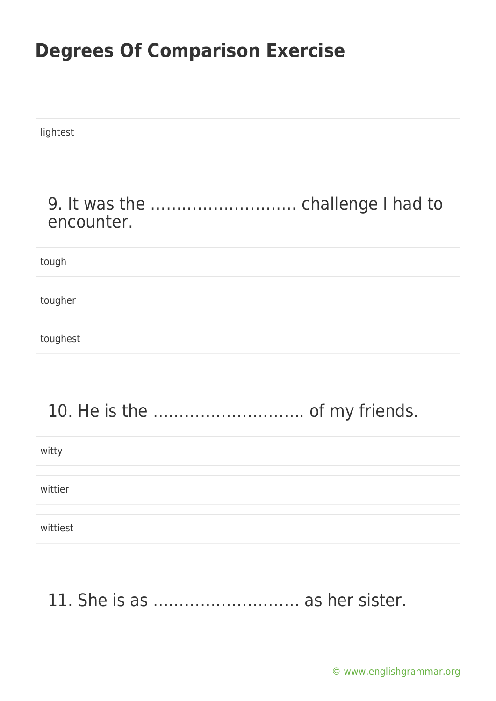lightest

### 9. It was the ………………………. challenge I had to encounter.

tough

tougher

toughest

# 10. He is the ……………………….. of my friends.

witty

wittier

wittiest

## 11. She is as ………………………. as her sister.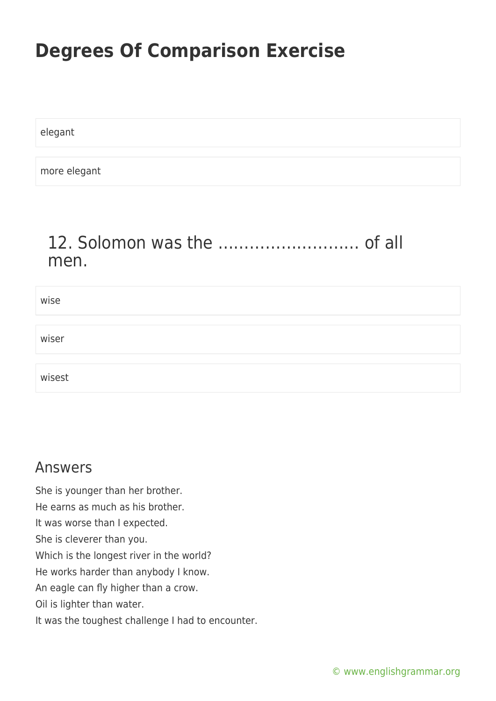elegant

more elegant

### 12. Solomon was the ……………………… of all men.

| wise   |  |
|--------|--|
|        |  |
| wiser  |  |
|        |  |
| wisest |  |

#### Answers

She is younger than her brother. He earns as much as his brother. It was worse than I expected. She is cleverer than you. Which is the longest river in the world? He works harder than anybody I know. An eagle can fly higher than a crow. Oil is lighter than water. It was the toughest challenge I had to encounter.